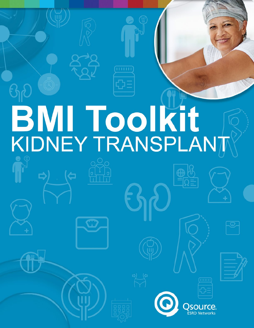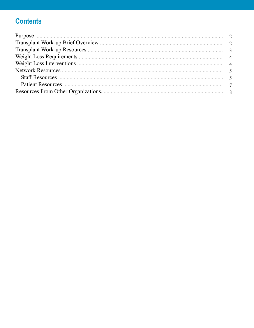# **Contents**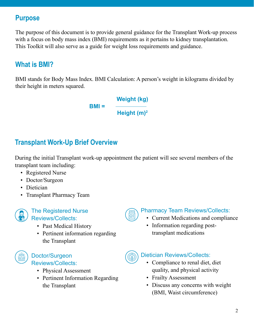# **Purpose**

The purpose of this document is to provide general guidance for the Transplant Work-up process with a focus on body mass index (BMI) requirements as it pertains to kidney transplantation. This Toolkit will also serve as a guide for weight loss requirements and guidance.

# **What is BMI?**

BMI stands for Body Mass Index. BMI Calculation: A person's weight in kilograms divided by their height in meters squared.

> **BMI = Weight (kg) Height (m)<sup>2</sup>**

# **Transplant Work-Up Brief Overview**

During the initial Transplant work-up appointment the patient will see several members of the transplant team including:

- Registered Nurse
- Doctor/Surgeon
- Dietician
- Transplant Pharmacy Team



#### The Registered Nurse Reviews/Collects:

- Past Medical History
- Pertinent information regarding the Transplant



### Doctor/Surgeon Reviews/Collects:

- Physical Assessment
- Pertinent Information Regarding the Transplant



## Pharmacy Team Reviews/Collects:

- Current Medications and compliance
- Information regarding posttransplant medications



### Dietician Reviews/Collects:

- Compliance to renal diet, diet quality, and physical activity
- Frailty Assessment
- Discuss any concerns with weight (BMI, Waist circumference)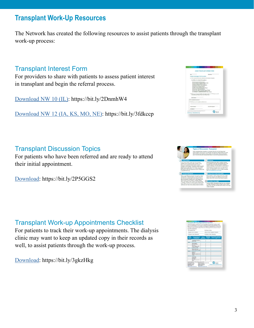# **Transplant Work-Up Resources**

The Network has created the following resources to assist patients through the transplant work-up process:

## Transplant Interest Form

For providers to share with patients to assess patient interest in transplant and begin the referral process.

[Download NW 10 \(IL\)](http://resourcehub.exchange/download/nw-10-transplant-interest-form/?wpdmdl=5764&refresh=5f14d4d61853e1595200726): <https://bit.ly/2DnmhW4>

[Download NW 12 \(IA, KS, MO, NE\)](http://resourcehub.exchange/download/transplant-interest-form/?wpdmdl=4952&refresh=5f14d4d436cb11595200724):<https://bit.ly/3fdkccp>

# Transplant Discussion Topics

For patients who have been referred and are ready to attend their initial appointment.

[Download](http://resourcehub.exchange/download/transplant-discussion-topics/?wpdmdl=6166&refresh=5f14d510cdc191595200784): <https://bit.ly/2P5GGS2>

# Transplant Work-up Appointments Checklist

For patients to track their work-up appointments. The dialysis clinic may want to keep an updated copy in their records as well, to assist patients through the work-up process.

[Download](http://resourcehub.exchange/download/transplant-work-up-appointments-checklist/?wpdmdl=6032&refresh=5f14d52557c681595200805): <https://bit.ly/3gkzHkg>





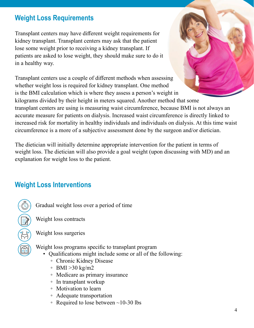## **Weight Loss Requirements**

Transplant centers may have different weight requirements for kidney transplant. Transplant centers may ask that the patient lose some weight prior to receiving a kidney transplant. If patients are asked to lose weight, they should make sure to do it in a healthy way.

Transplant centers use a couple of different methods when assessing whether weight loss is required for kidney transplant. One method is the BMI calculation which is where they assess a person's weight in kilograms divided by their height in meters squared. Another method that some transplant centers are using is measuring waist circumference, because BMI is not always an accurate measure for patients on dialysis. Increased waist circumference is directly linked to increased risk for mortality in healthy individuals and individuals on dialysis. At this time waist circumference is a more of a subjective assessment done by the surgeon and/or dietician.

The dietician will initially determine appropriate intervention for the patient in terms of weight loss. The dietician will also provide a goal weight (upon discussing with MD) and an explanation for weight loss to the patient.

# **Weight Loss Interventions**

Gradual weight loss over a period of time

Weight loss contracts

Weight loss surgeries

Weight loss programs specific to transplant program

- Qualifications might include some or all of the following:
	- Chronic Kidney Disease
	- $\circ$  BMI > 30 kg/m2
	- Medicare as primary insurance
	- In transplant workup
	- Motivation to learn
	- Adequate transportation
	- Required to lose between  $\sim$ 10-30 lbs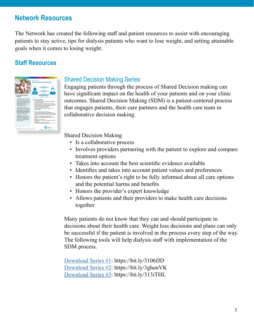## **Network Resources**

The Network has created the following staff and patient resources to assist with encouraging patients to stay active, tips for dialysis patients who want to lose weight, and setting attainable goals when it comes to losing weight.

## **Staff Resources**



### Shared Decision Making Series

Engaging patients through the process of Shared Decision making can have significant impact on the health of your patients and on your clinic outcomes. Shared Decision Making (SDM) is a patient-centered process that engages patients, their care partners and the health care team in collaborative decision making.

Shared Decision Making

- Is a collaborative process
- Involves providers partnering with the patient to explore and compare treatment options
- Takes into account the best scientific evidence available
- Identifies and takes into account patient values and preferences
- Honors the patient's right to be fully informed about all care options and the potential harms and benefits
- Honors the provider's expert knowledge
- Allows patients and their providers to make health care decisions together

Many patients do not know that they can and should participate in decisions about their health care. Weight loss decisions and plans can only be successful if the patient is involved in the process every step of the way. The following tools will help dialysis staff with implementation of the SDM process.

[Download Series #1](http://resourcehub.exchange/download/nw-10-shared-decision-making/?wpdmdl=5768&refresh=5f14d4415621a1595200577): <https://bit.ly/3106fJD> [Download Series #2](http://resourcehub.exchange/download/nw-10-shared-decision-making-process/?wpdmdl=5770&refresh=5f14d442c5d601595200578): <https://bit.ly/3ghonVK> [Download Series #3](http://resourcehub.exchange/download/nw-10-shared-decision-making-case-example/?wpdmdl=5772&refresh=5f14d444a13e61595200580): <https://bit.ly/313iTHL>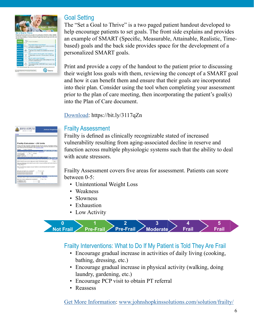| <b>Set a Goal to Thrive</b><br>two and to done! |       | Feel. Better.<br>Boag shoulder and socially actors can make your overall quality of left better. Setting a SMART<br>neal Class of r. Measurable, Achaevable, Realisms and Tune Round) can belo you be macrossful. You<br>can start small and build up to some goods! Read the example below then use page two to write your |
|-------------------------------------------------|-------|-----------------------------------------------------------------------------------------------------------------------------------------------------------------------------------------------------------------------------------------------------------------------------------------------------------------------------|
| GOAL                                            |       | I want to be healthout"                                                                                                                                                                                                                                                                                                     |
| tercent                                         | $7 -$ | Who? What? Where? How? When?<br>"I will take a 13 minute with three days a week an arm-<br>fers around my weighborhood."                                                                                                                                                                                                    |
| <b>MEADURAIN</b>                                |       | How will I know I've reached my goal?<br>"I will write on novembradar every normik the time each day I<br>sub-1                                                                                                                                                                                                             |
| <b>AGHEWALE</b>                                 |       | What do I need to meet my goal? Time? Eugenrt?<br>Twill go father every week. I will ask a friend to walk with<br>sing <sup>or</sup>                                                                                                                                                                                        |
| <b>Раздантис</b>                                |       | Why do I want to reach this goal?<br>"Right new I can walk two blocks well-out persing tard. I want<br>to be able to walk four blacks."                                                                                                                                                                                     |
| <b>TAN BASED</b>                                |       | I will reach my goal by<br>"One month from todes: I will be able to walk 15 minors, three<br>fence a tende."                                                                                                                                                                                                                |
|                                                 |       | NOTE Belon antingularited, talk to your doctor about how to calcit start increasing your physical activity.<br>source                                                                                                                                                                                                       |

## Goal Setting

The "Set a Goal to Thrive" is a two paged patient handout developed to help encourage patients to set goals. The front side explains and provides an example of SMART (Specific, Measurable, Attainable, Realistic, Timebased) goals and the back side provides space for the development of a personalized SMART goals.

Print and provide a copy of the handout to the patient prior to discussing their weight loss goals with them, reviewing the concept of a SMART goal and how it can benefit them and ensure that their goals are incorporated into their plan. Consider using the tool when completing your assessment prior to the plan of care meeting, then incorporating the patient's goal(s) into the Plan of Care document.

[Download](http://resourcehub.exchange/download/set-a-goal-to-thrive/?wpdmdl=5353&refresh=5f14d3521db421595200338): <https://bit.ly/3117qZn>

| <b>JOHNS HOPKINS</b><br>515                                                                                                                                                                                                          | <b>Johns Hopkins</b>                       |
|--------------------------------------------------------------------------------------------------------------------------------------------------------------------------------------------------------------------------------------|--------------------------------------------|
| föme                                                                                                                                                                                                                                 |                                            |
| <b>Frailty Calculator - US Units</b>                                                                                                                                                                                                 |                                            |
| Please note: this catculater webpage should enty be used for calculation and/or d<br>you plan to collect date by hard copy and then enter it lots the calculator at a tele<br>data collection forms available in the practice quicks |                                            |
| Constitute 1<br>10 Main 11 Farmers<br>Participant height and weight are measured. Instructions                                                                                                                                       | called annual Winni                        |
| <b>Certain threater</b><br>$\mathbf{r}$<br><b>Glaci Fagua</b><br>Current Weight<br>Wednesday 1 separatures                                                                                                                           |                                            |
| Please click you noon you have entered both weight measures:<br>Darlin grand argumented that hand dynamicsmaker 3 between selfs dominant hand-                                                                                       | <b>Institute Learn</b>                     |
| White-It hand do you use to slop your same? (Exercisate hand)                                                                                                                                                                        | Gi Alcana Gi a                             |
| Have you had any recent pain in your wrist or any acute flare up in your hand or a<br><b>Europei agnolecene?</b><br>U Ves R No                                                                                                       |                                            |
| Have you had any extracty on your hands or arms during the last 3 months ?<br>12 Year 10 Nov.                                                                                                                                        |                                            |
| West grite strength sest completed?<br><b>Dominant hand measuressed</b> 1<br>Dominard hand measurement 2<br>Dominant hand measurement 3                                                                                              | <b>W. View -O. Hour</b><br>Mai<br>Ká<br>×à |
|                                                                                                                                                                                                                                      | Walking                                    |
| Participant webs 6 meter course folio at visual para. Instructions                                                                                                                                                                   |                                            |
| Was the 4 motor walking tost completed?                                                                                                                                                                                              | W. You 17 No.                              |
| <b>East Westerland Tenant</b>                                                                                                                                                                                                        | sec.                                       |

### Frailty Assessment

Frailty is defined as clinically recognizable stated of increased vulnerability resulting from aging-associated decline in reserve and function across multiple physiologic systems such that the ability to deal with acute stressors.

Frailty Assessment covers five areas for assessment. Patients can score between 0-5:

- Unintentional Weight Loss
- Weakness
- Slowness
- Exhaustion
- Low Activity



## Frailty Interventions: What to Do If My Patient is Told They Are Frail

- Encourage gradual increase in activities of daily living (cooking, bathing, dressing, etc.)
- Encourage gradual increase in physical activity (walking, doing laundry, gardening, etc.)
- Encourage PCP visit to obtain PT referral
- Reassess

[Get More Information](http://www.johnshopkinssolutions.com/solution/frailty/): [www.johnshopkinssolutions.com/solution/frailty/](http://www.johnshopkinssolutions.com/solution/frailty/)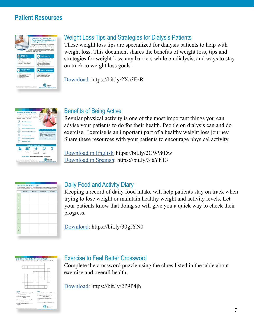### **Patient Resources**



## Weight Loss Tips and Strategies for Dialysis Patients

These weight loss tips are specialized for dialysis patients to help with weight loss. This document shares the benefits of weight loss, tips and strategies for weight loss, any barriers while on dialysis, and ways to stay on track to weight loss goals.

[Download](http://resourcehub.exchange/download/weight-loss-tips-and-strategies-for-dialysis-patients/?wpdmdl=6570&refresh=5f14d2f80b5d81595200248): <https://bit.ly/2Xa3FzR>



## Benefits of Being Active

Regular physical activity is one of the most important things you can advise your patients to do for their health. People on dialysis can and do exercise. Exercise is an important part of a healthy weight loss journey. Share these resources with your patients to encourage physical activity.

[Download](http://resourcehub.exchange/download/benefits-of-being-active/?wpdmdl=5215&refresh=5f14d14dd97951595199821) in English: <https://bit.ly/2CW98Dw> [Download in Spanish](http://resourcehub.exchange/download/benefits-of-being-active-spanish/?wpdmdl=5217&refresh=5f14d5ad29e6c1595200941): <https://bit.ly/3faYhT3>

|                  | Monday | Tuesday | Wednesday | Thursday |
|------------------|--------|---------|-----------|----------|
| <b>Breakfast</b> |        |         |           |          |
| inch             |        |         |           |          |
| Diamet           |        |         |           |          |
| Activity         |        |         |           |          |

### Daily Food and Activity Diary

Keeping a record of daily food intake will help patients stay on track when trying to lose weight or maintain healthy weight and activity levels. Let your patients know that doing so will give you a quick way to check their progress.

[Download:](http://resourcehub.exchange/download/daily-food-and-activity-diary/?wpdmdl=6599&refresh=5f14d317b5fe91595200279) <https://bit.ly/30gfYN0>



### Exercise to Feel Better Crossword

Complete the crossword puzzle using the clues listed in the table about exercise and overall health.

[Download](http://resourcehub.exchange/download/exercise-to-feel-better-crossword/?wpdmdl=6219&refresh=5f14d63734dc61595201079): <https://bit.ly/2P9P4jh>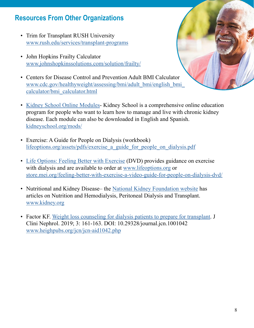## **Resources From Other Organizations**

- [Trim for Transplant RUSH University](https://www.rush.edu/services/transplant-programs) www.rush.edu/services/transplant-programs
- [John Hopkins Frailty Calculator](https://www.johnshopkinssolutions.com/solution/frailty/) [www.johnshopkinssolutions.com/solution/frailty/](http://www.johnshopkinssolutions.com/solution/frailty/)
- [Centers for Disease Control and Prevention Adult BMI Calculator](https://www.cdc.gov/healthyweight/assessing/bmi/adult_bmi/english_bmi_calculator/bmi_calculator.html) [www.cdc.gov/healthyweight/assessing/bmi/adult\\_bmi/english\\_bmi\\_](http://www.cdc.gov/healthyweight/assessing/bmi/adult_bmi/english_bmi_calculator/bmi_calculator.html) [calculator/bmi\\_calculator.html](http://www.cdc.gov/healthyweight/assessing/bmi/adult_bmi/english_bmi_calculator/bmi_calculator.html)



- [Kidney School Online Modules-](https://kidneyschool.org/mods/) Kidney School is a comprehensive online education program for people who want to learn how to manage and live with chronic kidney disease. Each module can also be downloaded in English and Spanish. [kidneyschool.org/mods/](http://kidneyschool.org/mods/)
- [Exercise: A Guide for People on Dialysis](https://lifeoptions.org/assets/pdfs/exercise_a_guide_for_people_on_dialysis.pdf) (workbook) [lifeoptions.org/assets/pdfs/exercise\\_a\\_guide\\_for\\_people\\_on\\_dialysis.pdf](http://lifeoptions.org/assets/pdfs/exercise_a_guide_for_people_on_dialysis.pdf)
- [Life Options: Feeling Better with Exercise](https://store.mei.org/feeling-better-with-exercise-a-video-guide-for-people-on-dialysis-dvd/) (DVD) provides guidance on exercise with dialysis and are available to order at [www.lifeoptions.org](http://www.lifeoptions.org) or [store.mei.org/feeling-better-with-exercise-a-video-guide-for-people-on-dialysis-dvd/](http://store.mei.org/feeling-better-with-exercise-a-video-guide-for-people-on-dialysis-dvd/)
- Nutritional and Kidney Disease– the [National Kidney Foundation website](https://www.kidney.org/
) has articles on Nutrition and Hemodialysis, Peritoneal Dialysis and Transplant. [www.kidney.org](http://www.kidney.org)
- Factor KF. [Weight loss counseling for dialysis patients to prepare for transplant.](https://www.heighpubs.org/jcn/jcn-aid1042.php) J Clini Nephrol. 2019; 3: 161-163. DOI: 10.29328/journal.jcn.1001042 [www.heighpubs.org/jcn/jcn-aid1042.php](http://www.heighpubs.org/jcn/jcn-aid1042.php)